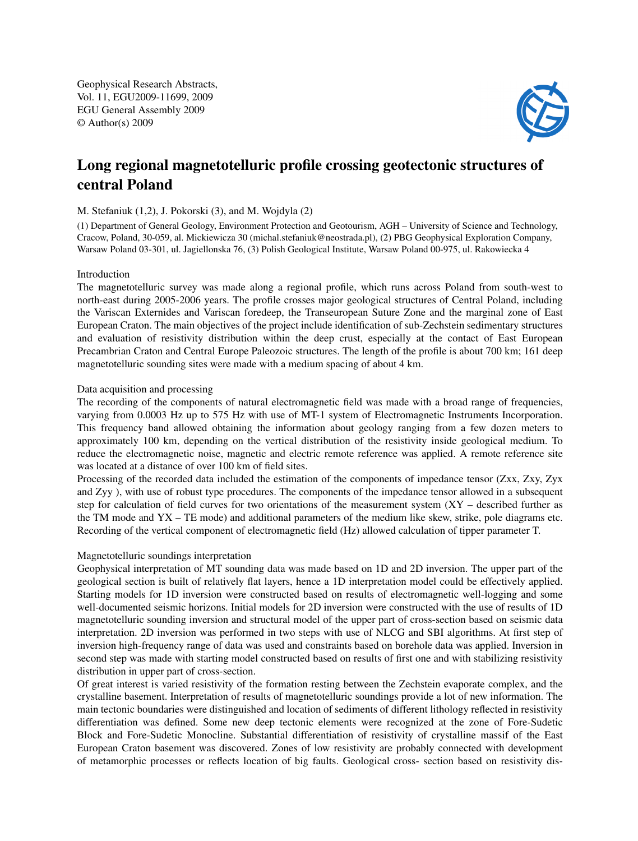Geophysical Research Abstracts, Vol. 11, EGU2009-11699, 2009 EGU General Assembly 2009 © Author(s) 2009



# Long regional magnetotelluric profile crossing geotectonic structures of central Poland

## M. Stefaniuk (1,2), J. Pokorski (3), and M. Wojdyla (2)

(1) Department of General Geology, Environment Protection and Geotourism, AGH – University of Science and Technology, Cracow, Poland, 30-059, al. Mickiewicza 30 (michal.stefaniuk@neostrada.pl), (2) PBG Geophysical Exploration Company, Warsaw Poland 03-301, ul. Jagiellonska 76, (3) Polish Geological Institute, Warsaw Poland 00-975, ul. Rakowiecka 4

## Introduction

The magnetotelluric survey was made along a regional profile, which runs across Poland from south-west to north-east during 2005-2006 years. The profile crosses major geological structures of Central Poland, including the Variscan Externides and Variscan foredeep, the Transeuropean Suture Zone and the marginal zone of East European Craton. The main objectives of the project include identification of sub-Zechstein sedimentary structures and evaluation of resistivity distribution within the deep crust, especially at the contact of East European Precambrian Craton and Central Europe Paleozoic structures. The length of the profile is about 700 km; 161 deep magnetotelluric sounding sites were made with a medium spacing of about 4 km.

## Data acquisition and processing

The recording of the components of natural electromagnetic field was made with a broad range of frequencies, varying from 0.0003 Hz up to 575 Hz with use of MT-1 system of Electromagnetic Instruments Incorporation. This frequency band allowed obtaining the information about geology ranging from a few dozen meters to approximately 100 km, depending on the vertical distribution of the resistivity inside geological medium. To reduce the electromagnetic noise, magnetic and electric remote reference was applied. A remote reference site was located at a distance of over 100 km of field sites.

Processing of the recorded data included the estimation of the components of impedance tensor (Zxx, Zxy, Zyx and Zyy ), with use of robust type procedures. The components of the impedance tensor allowed in a subsequent step for calculation of field curves for two orientations of the measurement system (XY – described further as the TM mode and YX – TE mode) and additional parameters of the medium like skew, strike, pole diagrams etc. Recording of the vertical component of electromagnetic field (Hz) allowed calculation of tipper parameter T.

## Magnetotelluric soundings interpretation

Geophysical interpretation of MT sounding data was made based on 1D and 2D inversion. The upper part of the geological section is built of relatively flat layers, hence a 1D interpretation model could be effectively applied. Starting models for 1D inversion were constructed based on results of electromagnetic well-logging and some well-documented seismic horizons. Initial models for 2D inversion were constructed with the use of results of 1D magnetotelluric sounding inversion and structural model of the upper part of cross-section based on seismic data interpretation. 2D inversion was performed in two steps with use of NLCG and SBI algorithms. At first step of inversion high-frequency range of data was used and constraints based on borehole data was applied. Inversion in second step was made with starting model constructed based on results of first one and with stabilizing resistivity distribution in upper part of cross-section.

Of great interest is varied resistivity of the formation resting between the Zechstein evaporate complex, and the crystalline basement. Interpretation of results of magnetotelluric soundings provide a lot of new information. The main tectonic boundaries were distinguished and location of sediments of different lithology reflected in resistivity differentiation was defined. Some new deep tectonic elements were recognized at the zone of Fore-Sudetic Block and Fore-Sudetic Monocline. Substantial differentiation of resistivity of crystalline massif of the East European Craton basement was discovered. Zones of low resistivity are probably connected with development of metamorphic processes or reflects location of big faults. Geological cross- section based on resistivity dis